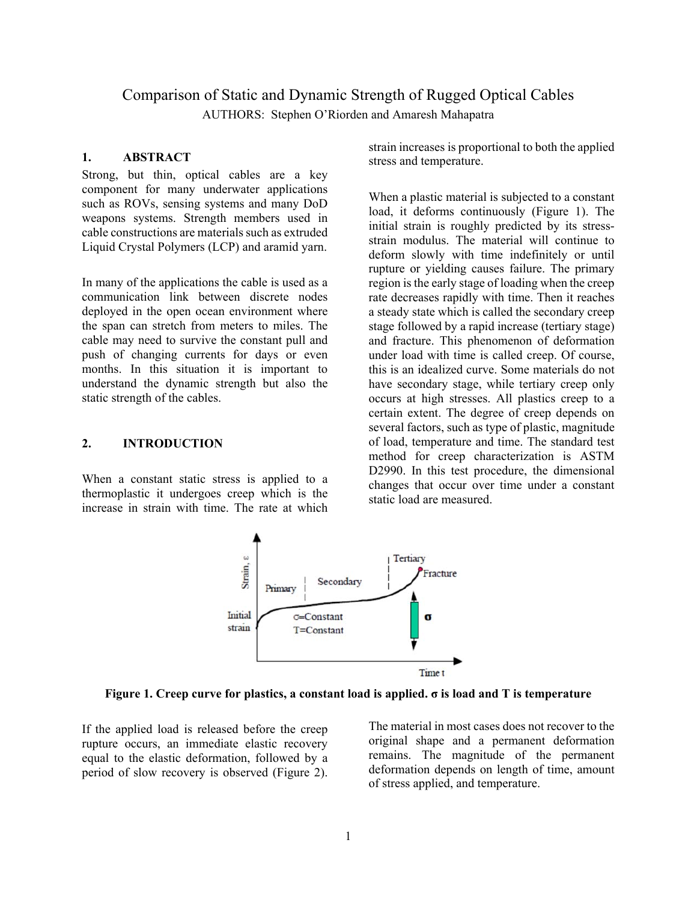# Comparison of Static and Dynamic Strength of Rugged Optical Cables AUTHORS: Stephen O'Riorden and Amaresh Mahapatra

## **1. ABSTRACT**

Strong, but thin, optical cables are a key component for many underwater applications such as ROVs, sensing systems and many DoD weapons systems. Strength members used in cable constructions are materials such as extruded Liquid Crystal Polymers (LCP) and aramid yarn.

In many of the applications the cable is used as a communication link between discrete nodes deployed in the open ocean environment where the span can stretch from meters to miles. The cable may need to survive the constant pull and push of changing currents for days or even months. In this situation it is important to understand the dynamic strength but also the static strength of the cables.

#### **2. INTRODUCTION**

When a constant static stress is applied to a thermoplastic it undergoes creep which is the increase in strain with time. The rate at which strain increases is proportional to both the applied stress and temperature.

When a plastic material is subjected to a constant load, it deforms continuously (Figure 1). The initial strain is roughly predicted by its stressstrain modulus. The material will continue to deform slowly with time indefinitely or until rupture or yielding causes failure. The primary region is the early stage of loading when the creep rate decreases rapidly with time. Then it reaches a steady state which is called the secondary creep stage followed by a rapid increase (tertiary stage) and fracture. This phenomenon of deformation under load with time is called creep. Of course, this is an idealized curve. Some materials do not have secondary stage, while tertiary creep only occurs at high stresses. All plastics creep to a certain extent. The degree of creep depends on several factors, such as type of plastic, magnitude of load, temperature and time. The standard test method for creep characterization is ASTM D2990. In this test procedure, the dimensional changes that occur over time under a constant static load are measured.



**Figure 1. Creep curve for plastics, a constant load is applied. σ is load and T is temperature** 

If the applied load is released before the creep rupture occurs, an immediate elastic recovery equal to the elastic deformation, followed by a period of slow recovery is observed (Figure 2).

The material in most cases does not recover to the original shape and a permanent deformation remains. The magnitude of the permanent deformation depends on length of time, amount of stress applied, and temperature.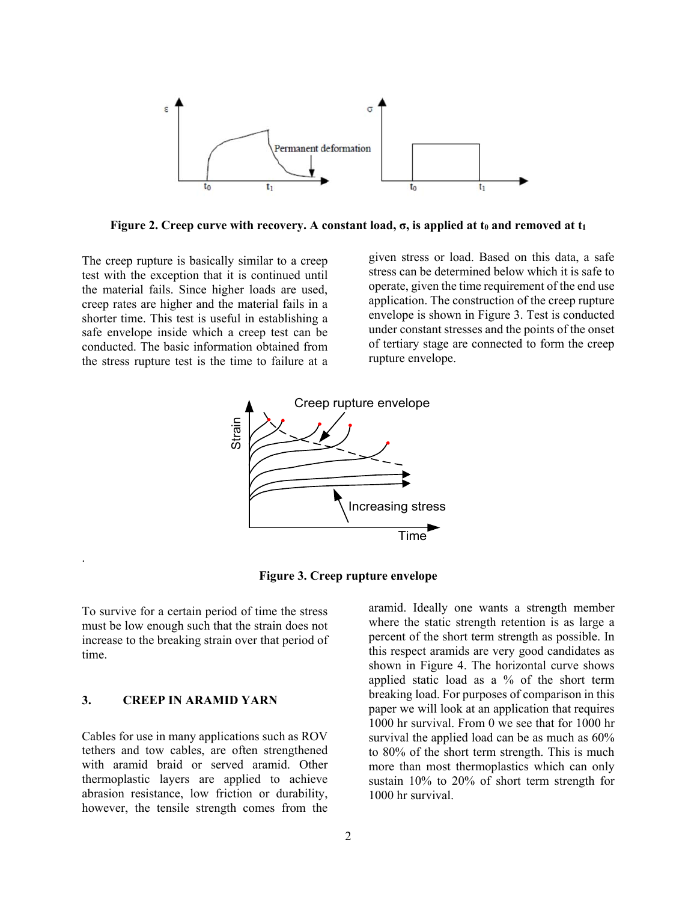

**Figure 2. Creep curve with recovery. A constant load,**  $\sigma$ **, is applied at t<sub>0</sub> and removed at t<sub>1</sub>** 

The creep rupture is basically similar to a creep test with the exception that it is continued until the material fails. Since higher loads are used, creep rates are higher and the material fails in a shorter time. This test is useful in establishing a safe envelope inside which a creep test can be conducted. The basic information obtained from the stress rupture test is the time to failure at a

given stress or load. Based on this data, a safe stress can be determined below which it is safe to operate, given the time requirement of the end use application. The construction of the creep rupture envelope is shown in Figure 3. Test is conducted under constant stresses and the points of the onset of tertiary stage are connected to form the creep rupture envelope.



**Figure 3. Creep rupture envelope** 

To survive for a certain period of time the stress must be low enough such that the strain does not increase to the breaking strain over that period of time.

#### **3. CREEP IN ARAMID YARN**

.

Cables for use in many applications such as ROV tethers and tow cables, are often strengthened with aramid braid or served aramid. Other thermoplastic layers are applied to achieve abrasion resistance, low friction or durability, however, the tensile strength comes from the

aramid. Ideally one wants a strength member where the static strength retention is as large a percent of the short term strength as possible. In this respect aramids are very good candidates as shown in Figure 4. The horizontal curve shows applied static load as a % of the short term breaking load. For purposes of comparison in this paper we will look at an application that requires 1000 hr survival. From 0 we see that for 1000 hr survival the applied load can be as much as 60% to 80% of the short term strength. This is much more than most thermoplastics which can only sustain 10% to 20% of short term strength for 1000 hr survival.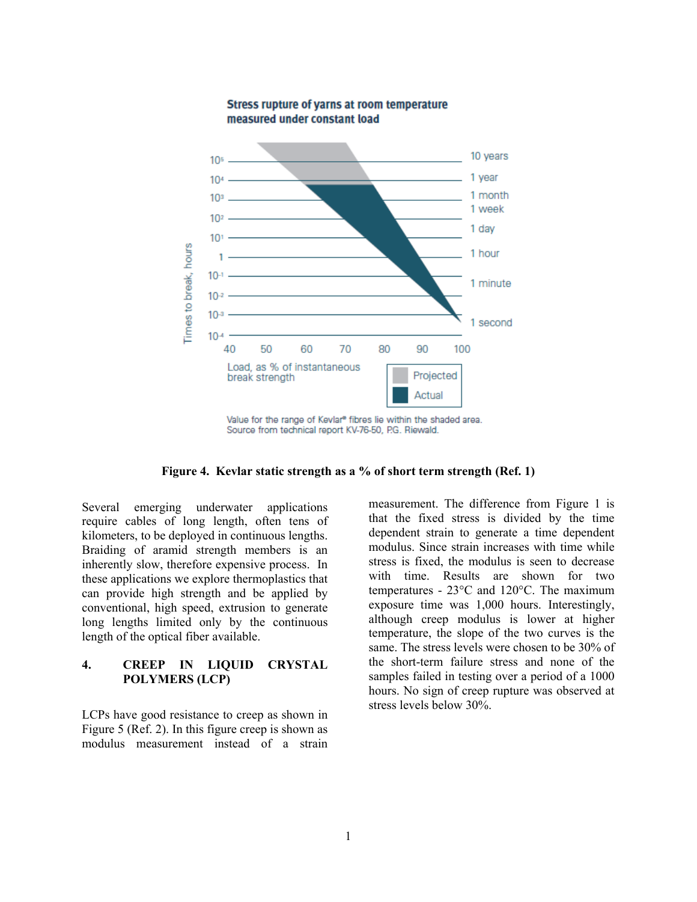

**Figure 4. Kevlar static strength as a % of short term strength (Ref. 1)** 

Several emerging underwater applications require cables of long length, often tens of kilometers, to be deployed in continuous lengths. Braiding of aramid strength members is an inherently slow, therefore expensive process. In these applications we explore thermoplastics that can provide high strength and be applied by conventional, high speed, extrusion to generate long lengths limited only by the continuous length of the optical fiber available.

# **4. CREEP IN LIQUID CRYSTAL POLYMERS (LCP)**

LCPs have good resistance to creep as shown in Figure 5 (Ref. 2). In this figure creep is shown as modulus measurement instead of a strain

measurement. The difference from Figure 1 is that the fixed stress is divided by the time dependent strain to generate a time dependent modulus. Since strain increases with time while stress is fixed, the modulus is seen to decrease with time. Results are shown for two temperatures - 23°C and 120°C. The maximum exposure time was 1,000 hours. Interestingly, although creep modulus is lower at higher temperature, the slope of the two curves is the same. The stress levels were chosen to be 30% of the short-term failure stress and none of the samples failed in testing over a period of a 1000 hours. No sign of creep rupture was observed at stress levels below 30%.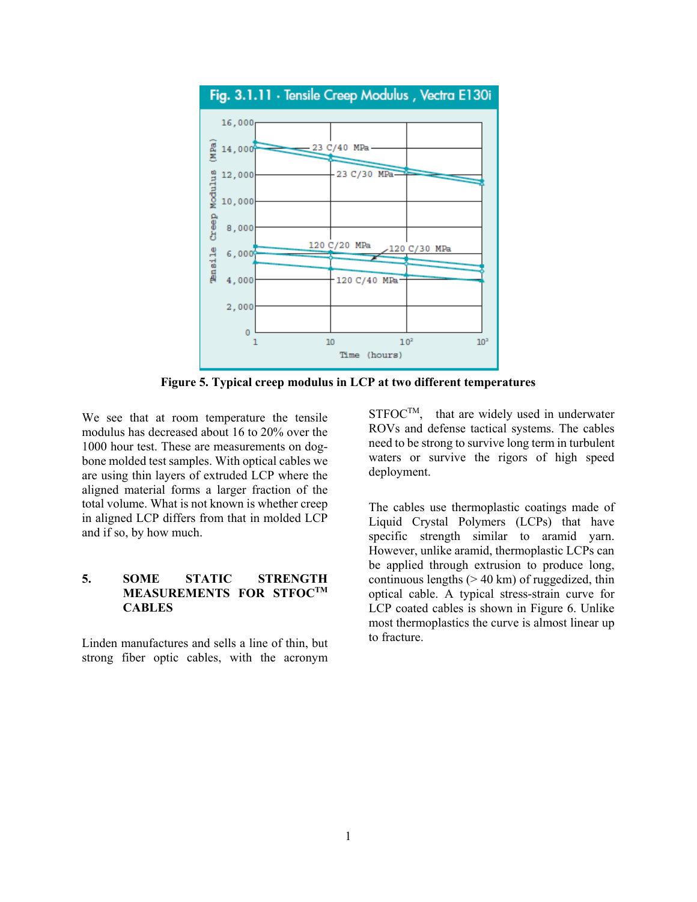

**Figure 5. Typical creep modulus in LCP at two different temperatures** 

We see that at room temperature the tensile modulus has decreased about 16 to 20% over the 1000 hour test. These are measurements on dogbone molded test samples. With optical cables we are using thin layers of extruded LCP where the aligned material forms a larger fraction of the total volume. What is not known is whether creep in aligned LCP differs from that in molded LCP and if so, by how much.

# **5. SOME STATIC STRENGTH MEASUREMENTS FOR STFOCTM CABLES**

Linden manufactures and sells a line of thin, but strong fiber optic cables, with the acronym  $STFOC^{TM}$ , that are widely used in underwater ROVs and defense tactical systems. The cables need to be strong to survive long term in turbulent waters or survive the rigors of high speed deployment.

The cables use thermoplastic coatings made of Liquid Crystal Polymers (LCPs) that have specific strength similar to aramid yarn. However, unlike aramid, thermoplastic LCPs can be applied through extrusion to produce long, continuous lengths  $(> 40 \text{ km})$  of ruggedized, thin optical cable. A typical stress-strain curve for LCP coated cables is shown in Figure 6. Unlike most thermoplastics the curve is almost linear up to fracture.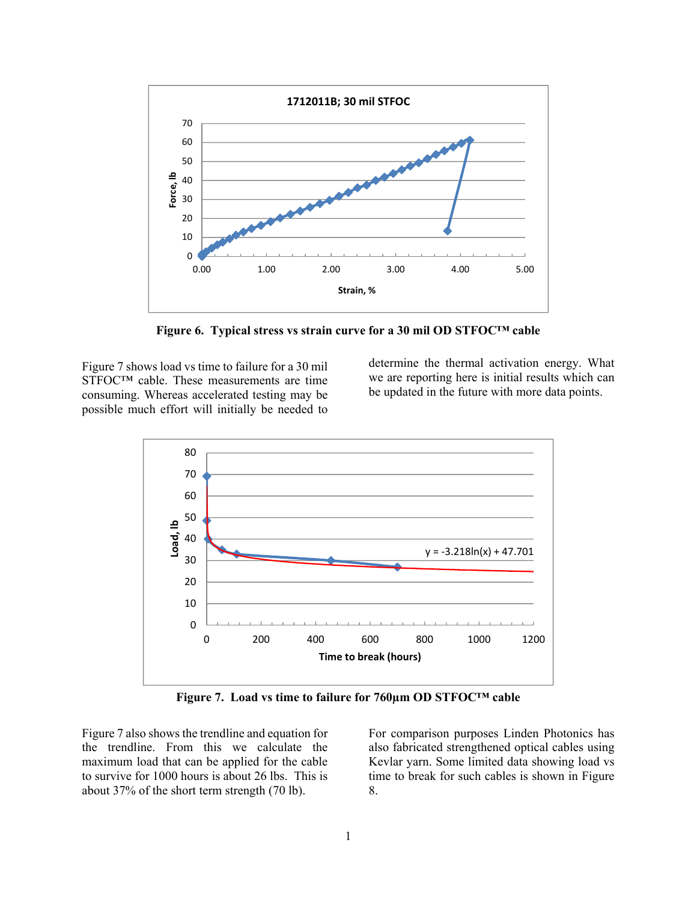

**Figure 6. Typical stress vs strain curve for a 30 mil OD STFOC™ cable** 

Figure 7 shows load vs time to failure for a 30 mil STFOC™ cable. These measurements are time consuming. Whereas accelerated testing may be possible much effort will initially be needed to

determine the thermal activation energy. What we are reporting here is initial results which can be updated in the future with more data points.



**Figure 7. Load vs time to failure for 760µm OD STFOC™ cable** 

Figure 7 also shows the trendline and equation for the trendline. From this we calculate the maximum load that can be applied for the cable to survive for 1000 hours is about 26 lbs. This is about 37% of the short term strength (70 lb).

For comparison purposes Linden Photonics has also fabricated strengthened optical cables using Kevlar yarn. Some limited data showing load vs time to break for such cables is shown in Figure 8.